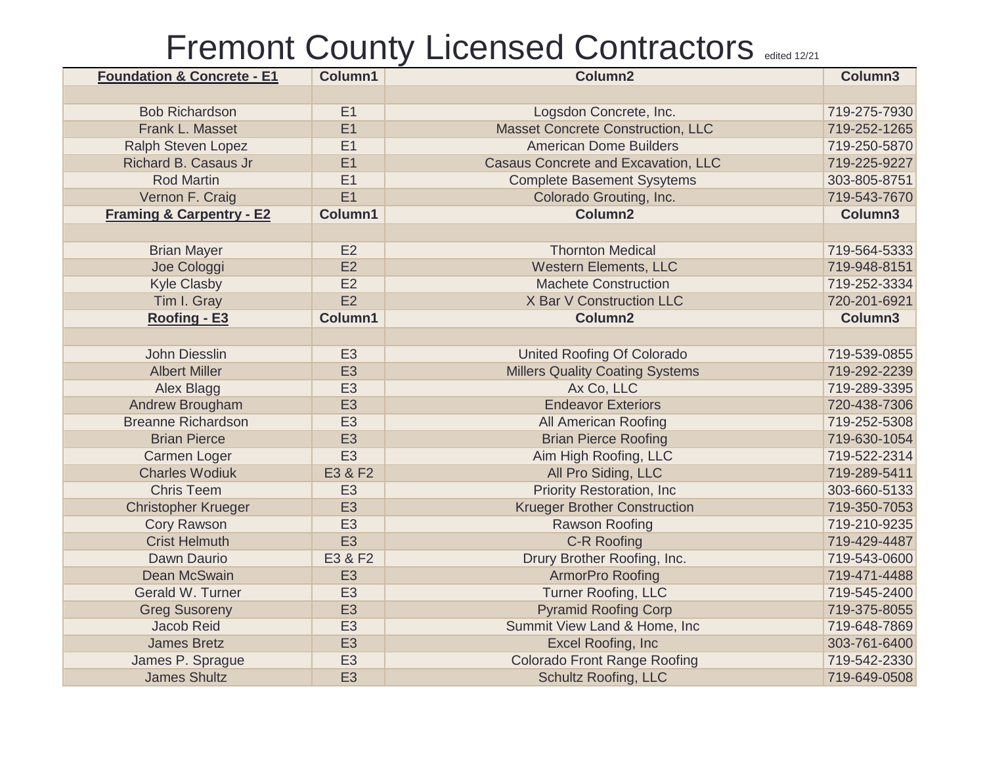| <b>Foundation &amp; Concrete - E1</b> | Column1        | Column <sub>2</sub>                      | Column3      |
|---------------------------------------|----------------|------------------------------------------|--------------|
|                                       |                |                                          |              |
| <b>Bob Richardson</b>                 | E1             | Logsdon Concrete, Inc.                   | 719-275-7930 |
| Frank L. Masset                       | E1             | <b>Masset Concrete Construction, LLC</b> | 719-252-1265 |
| <b>Ralph Steven Lopez</b>             | E1             | <b>American Dome Builders</b>            | 719-250-5870 |
| Richard B. Casaus Jr                  | E1             | Casaus Concrete and Excavation, LLC      | 719-225-9227 |
| <b>Rod Martin</b>                     | E1             | <b>Complete Basement Sysytems</b>        | 303-805-8751 |
| Vernon F. Craig                       | E1             | Colorado Grouting, Inc.                  | 719-543-7670 |
| <b>Framing &amp; Carpentry - E2</b>   | Column1        | Column <sub>2</sub>                      | Column3      |
|                                       |                |                                          |              |
| <b>Brian Mayer</b>                    | E2             | <b>Thornton Medical</b>                  | 719-564-5333 |
| Joe Cologgi                           | E2             | <b>Western Elements, LLC</b>             | 719-948-8151 |
| <b>Kyle Clasby</b>                    | E2             | <b>Machete Construction</b>              | 719-252-3334 |
| Tim I. Gray                           | E2             | X Bar V Construction LLC                 | 720-201-6921 |
| Roofing - E3                          | Column1        | Column2                                  | Column3      |
|                                       |                |                                          |              |
| John Diesslin                         | E <sub>3</sub> | <b>United Roofing Of Colorado</b>        | 719-539-0855 |
| <b>Albert Miller</b>                  | E <sub>3</sub> | <b>Millers Quality Coating Systems</b>   | 719-292-2239 |
| Alex Blagg                            | E <sub>3</sub> | Ax Co, LLC                               | 719-289-3395 |
| Andrew Brougham                       | E <sub>3</sub> | <b>Endeavor Exteriors</b>                | 720-438-7306 |
| <b>Breanne Richardson</b>             | E <sub>3</sub> | All American Roofing                     | 719-252-5308 |
| <b>Brian Pierce</b>                   | E <sub>3</sub> | <b>Brian Pierce Roofing</b>              | 719-630-1054 |
| <b>Carmen Loger</b>                   | E <sub>3</sub> | Aim High Roofing, LLC                    | 719-522-2314 |
| <b>Charles Wodiuk</b>                 | E3 & F2        | All Pro Siding, LLC                      | 719-289-5411 |
| <b>Chris Teem</b>                     | E <sub>3</sub> | <b>Priority Restoration, Inc.</b>        | 303-660-5133 |
| <b>Christopher Krueger</b>            | E <sub>3</sub> | <b>Krueger Brother Construction</b>      | 719-350-7053 |
| <b>Cory Rawson</b>                    | E <sub>3</sub> | <b>Rawson Roofing</b>                    | 719-210-9235 |
| <b>Crist Helmuth</b>                  | E <sub>3</sub> | C-R Roofing                              | 719-429-4487 |
| Dawn Daurio                           | E3 & F2        | Drury Brother Roofing, Inc.              | 719-543-0600 |
| Dean McSwain                          | E <sub>3</sub> | <b>ArmorPro Roofing</b>                  | 719-471-4488 |
| Gerald W. Turner                      | E <sub>3</sub> | <b>Turner Roofing, LLC</b>               | 719-545-2400 |
| <b>Greg Susoreny</b>                  | E <sub>3</sub> | <b>Pyramid Roofing Corp</b>              | 719-375-8055 |
| Jacob Reid                            | E <sub>3</sub> | Summit View Land & Home, Inc.            | 719-648-7869 |
| <b>James Bretz</b>                    | E <sub>3</sub> | Excel Roofing, Inc                       | 303-761-6400 |
| James P. Sprague                      | E <sub>3</sub> | <b>Colorado Front Range Roofing</b>      | 719-542-2330 |
| <b>James Shultz</b>                   | E <sub>3</sub> | <b>Schultz Roofing, LLC</b>              | 719-649-0508 |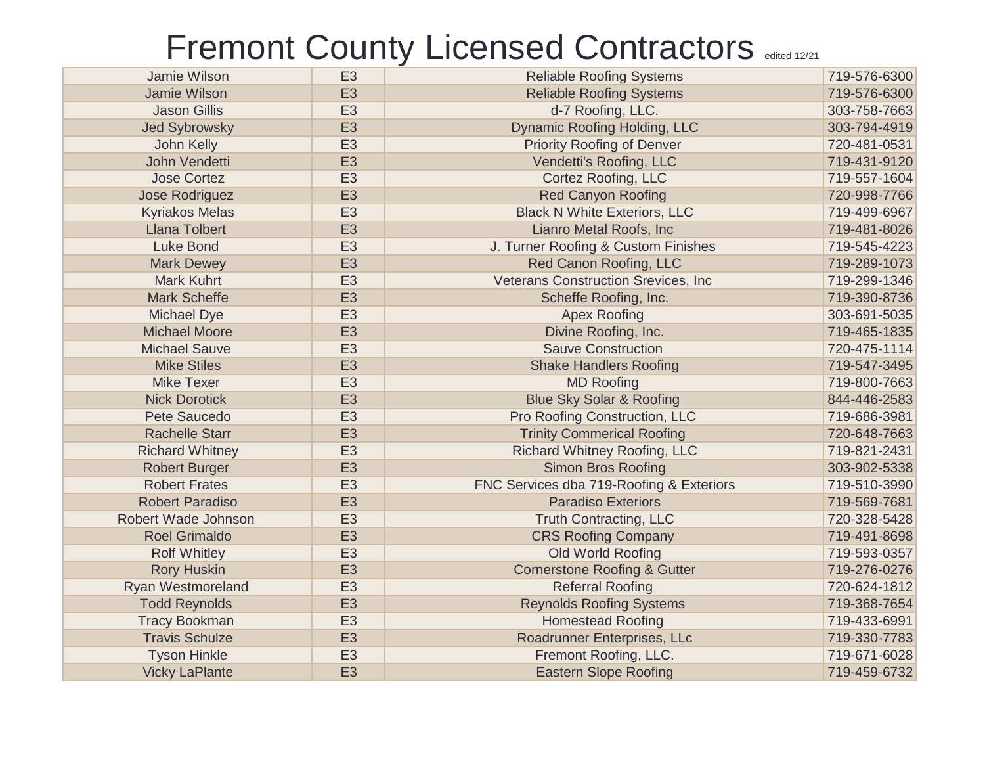| Jamie Wilson           | E <sub>3</sub> | <b>Reliable Roofing Systems</b>            | 719-576-6300 |
|------------------------|----------------|--------------------------------------------|--------------|
| Jamie Wilson           | E <sub>3</sub> | <b>Reliable Roofing Systems</b>            | 719-576-6300 |
| <b>Jason Gillis</b>    | E <sub>3</sub> | d-7 Roofing, LLC.                          | 303-758-7663 |
| <b>Jed Sybrowsky</b>   | E <sub>3</sub> | Dynamic Roofing Holding, LLC               | 303-794-4919 |
| John Kelly             | E <sub>3</sub> | <b>Priority Roofing of Denver</b>          | 720-481-0531 |
| John Vendetti          | E <sub>3</sub> | Vendetti's Roofing, LLC                    | 719-431-9120 |
| <b>Jose Cortez</b>     | E <sub>3</sub> | <b>Cortez Roofing, LLC</b>                 | 719-557-1604 |
| Jose Rodriguez         | E <sub>3</sub> | <b>Red Canyon Roofing</b>                  | 720-998-7766 |
| <b>Kyriakos Melas</b>  | E <sub>3</sub> | <b>Black N White Exteriors, LLC</b>        | 719-499-6967 |
| <b>Llana Tolbert</b>   | E <sub>3</sub> | Lianro Metal Roofs, Inc                    | 719-481-8026 |
| <b>Luke Bond</b>       | E <sub>3</sub> | J. Turner Roofing & Custom Finishes        | 719-545-4223 |
| <b>Mark Dewey</b>      | E <sub>3</sub> | Red Canon Roofing, LLC                     | 719-289-1073 |
| <b>Mark Kuhrt</b>      | E <sub>3</sub> | <b>Veterans Construction Srevices, Inc</b> | 719-299-1346 |
| <b>Mark Scheffe</b>    | E <sub>3</sub> | Scheffe Roofing, Inc.                      | 719-390-8736 |
| <b>Michael Dye</b>     | E <sub>3</sub> | <b>Apex Roofing</b>                        | 303-691-5035 |
| <b>Michael Moore</b>   | E <sub>3</sub> | Divine Roofing, Inc.                       | 719-465-1835 |
| <b>Michael Sauve</b>   | E <sub>3</sub> | <b>Sauve Construction</b>                  | 720-475-1114 |
| <b>Mike Stiles</b>     | E <sub>3</sub> | <b>Shake Handlers Roofing</b>              | 719-547-3495 |
| <b>Mike Texer</b>      | E <sub>3</sub> | <b>MD Roofing</b>                          | 719-800-7663 |
| <b>Nick Dorotick</b>   | E <sub>3</sub> | <b>Blue Sky Solar &amp; Roofing</b>        | 844-446-2583 |
| Pete Saucedo           | E <sub>3</sub> | Pro Roofing Construction, LLC              | 719-686-3981 |
| <b>Rachelle Starr</b>  | E <sub>3</sub> | <b>Trinity Commerical Roofing</b>          | 720-648-7663 |
| <b>Richard Whitney</b> | E <sub>3</sub> | <b>Richard Whitney Roofing, LLC</b>        | 719-821-2431 |
| <b>Robert Burger</b>   | E <sub>3</sub> | <b>Simon Bros Roofing</b>                  | 303-902-5338 |
| <b>Robert Frates</b>   | E <sub>3</sub> | FNC Services dba 719-Roofing & Exteriors   | 719-510-3990 |
| <b>Robert Paradiso</b> | E <sub>3</sub> | <b>Paradiso Exteriors</b>                  | 719-569-7681 |
| Robert Wade Johnson    | E <sub>3</sub> | <b>Truth Contracting, LLC</b>              | 720-328-5428 |
| <b>Roel Grimaldo</b>   | E <sub>3</sub> | <b>CRS Roofing Company</b>                 | 719-491-8698 |
| <b>Rolf Whitley</b>    | E <sub>3</sub> | Old World Roofing                          | 719-593-0357 |
| <b>Rory Huskin</b>     | E <sub>3</sub> | <b>Cornerstone Roofing &amp; Gutter</b>    | 719-276-0276 |
| Ryan Westmoreland      | E <sub>3</sub> | <b>Referral Roofing</b>                    | 720-624-1812 |
| <b>Todd Reynolds</b>   | E <sub>3</sub> | <b>Reynolds Roofing Systems</b>            | 719-368-7654 |
| <b>Tracy Bookman</b>   | E <sub>3</sub> | <b>Homestead Roofing</b>                   | 719-433-6991 |
| <b>Travis Schulze</b>  | E <sub>3</sub> | Roadrunner Enterprises, LLc                | 719-330-7783 |
| <b>Tyson Hinkle</b>    | E <sub>3</sub> | Fremont Roofing, LLC.                      | 719-671-6028 |
| <b>Vicky LaPlante</b>  | E <sub>3</sub> | <b>Eastern Slope Roofing</b>               | 719-459-6732 |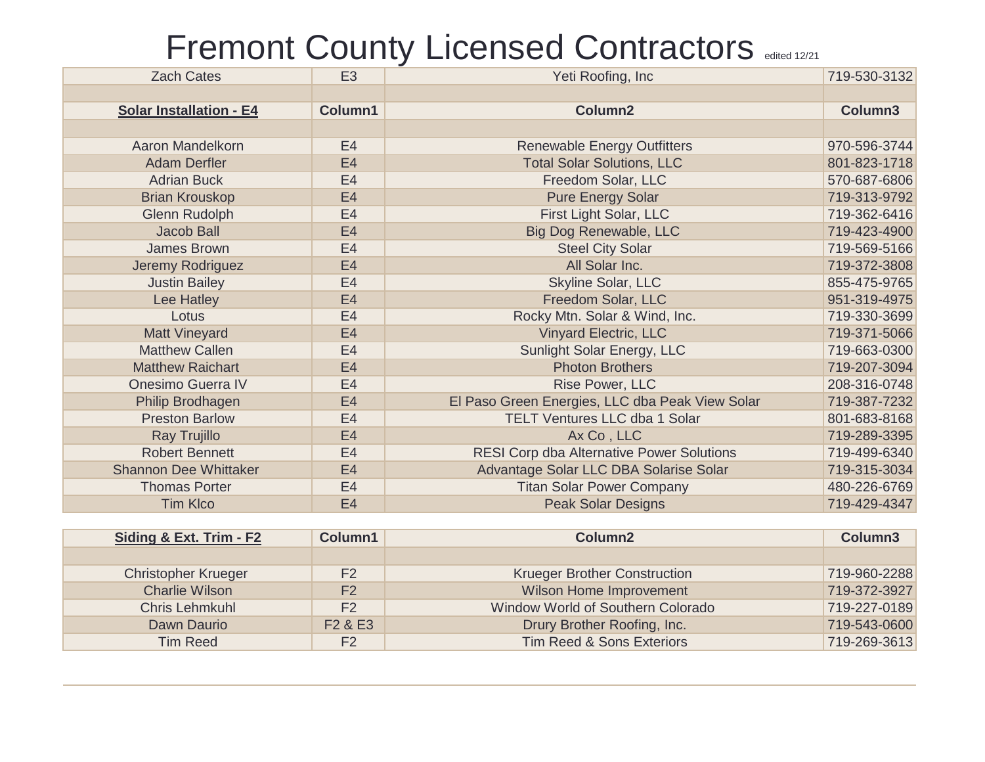| <b>Zach Cates</b>              | E <sub>3</sub> | Yeti Roofing, Inc                                | 719-530-3132 |
|--------------------------------|----------------|--------------------------------------------------|--------------|
|                                |                |                                                  |              |
| <b>Solar Installation - E4</b> | Column1        | Column2                                          | Column3      |
|                                |                |                                                  |              |
| Aaron Mandelkorn               | E <sub>4</sub> | <b>Renewable Energy Outfitters</b>               | 970-596-3744 |
| <b>Adam Derfler</b>            | E4             | <b>Total Solar Solutions, LLC</b>                | 801-823-1718 |
| <b>Adrian Buck</b>             | E <sub>4</sub> | Freedom Solar, LLC                               | 570-687-6806 |
| <b>Brian Krouskop</b>          | E4             | <b>Pure Energy Solar</b>                         | 719-313-9792 |
| <b>Glenn Rudolph</b>           | E <sub>4</sub> | First Light Solar, LLC                           | 719-362-6416 |
| Jacob Ball                     | E <sub>4</sub> | Big Dog Renewable, LLC                           | 719-423-4900 |
| James Brown                    | E <sub>4</sub> | <b>Steel City Solar</b>                          | 719-569-5166 |
| Jeremy Rodriguez               | E <sub>4</sub> | All Solar Inc.                                   | 719-372-3808 |
| <b>Justin Bailey</b>           | E <sub>4</sub> | Skyline Solar, LLC                               | 855-475-9765 |
| Lee Hatley                     | E4             | Freedom Solar, LLC                               | 951-319-4975 |
| Lotus                          | E <sub>4</sub> | Rocky Mtn. Solar & Wind, Inc.                    | 719-330-3699 |
| <b>Matt Vineyard</b>           | E <sub>4</sub> | <b>Vinyard Electric, LLC</b>                     | 719-371-5066 |
| <b>Matthew Callen</b>          | E <sub>4</sub> | Sunlight Solar Energy, LLC                       | 719-663-0300 |
| <b>Matthew Raichart</b>        | E <sub>4</sub> | <b>Photon Brothers</b>                           | 719-207-3094 |
| <b>Onesimo Guerra IV</b>       | E <sub>4</sub> | Rise Power, LLC                                  | 208-316-0748 |
| Philip Brodhagen               | E <sub>4</sub> | El Paso Green Energies, LLC dba Peak View Solar  | 719-387-7232 |
| <b>Preston Barlow</b>          | E <sub>4</sub> | <b>TELT Ventures LLC dba 1 Solar</b>             | 801-683-8168 |
| Ray Trujillo                   | E4             | Ax Co, LLC                                       | 719-289-3395 |
| <b>Robert Bennett</b>          | E <sub>4</sub> | <b>RESI Corp dba Alternative Power Solutions</b> | 719-499-6340 |
| <b>Shannon Dee Whittaker</b>   | E <sub>4</sub> | Advantage Solar LLC DBA Solarise Solar           | 719-315-3034 |
| <b>Thomas Porter</b>           | E <sub>4</sub> | <b>Titan Solar Power Company</b>                 | 480-226-6769 |
| <b>Tim Klco</b>                | E <sub>4</sub> | <b>Peak Solar Designs</b>                        | 719-429-4347 |

| Siding & Ext. Trim - F2    | Column1                         | Column <sub>2</sub>                  | Column <sub>3</sub> |
|----------------------------|---------------------------------|--------------------------------------|---------------------|
|                            |                                 |                                      |                     |
| <b>Christopher Krueger</b> | F <sub>2</sub>                  | <b>Krueger Brother Construction</b>  | 719-960-2288        |
| <b>Charlie Wilson</b>      | F <sub>2</sub>                  | Wilson Home Improvement              | 719-372-3927        |
| <b>Chris Lehmkuhl</b>      | F <sub>2</sub>                  | Window World of Southern Colorado    | 719-227-0189        |
| Dawn Daurio                | F <sub>2</sub> & E <sub>3</sub> | Drury Brother Roofing, Inc.          | 719-543-0600        |
| <b>Tim Reed</b>            | F2                              | <b>Tim Reed &amp; Sons Exteriors</b> | 719-269-3613        |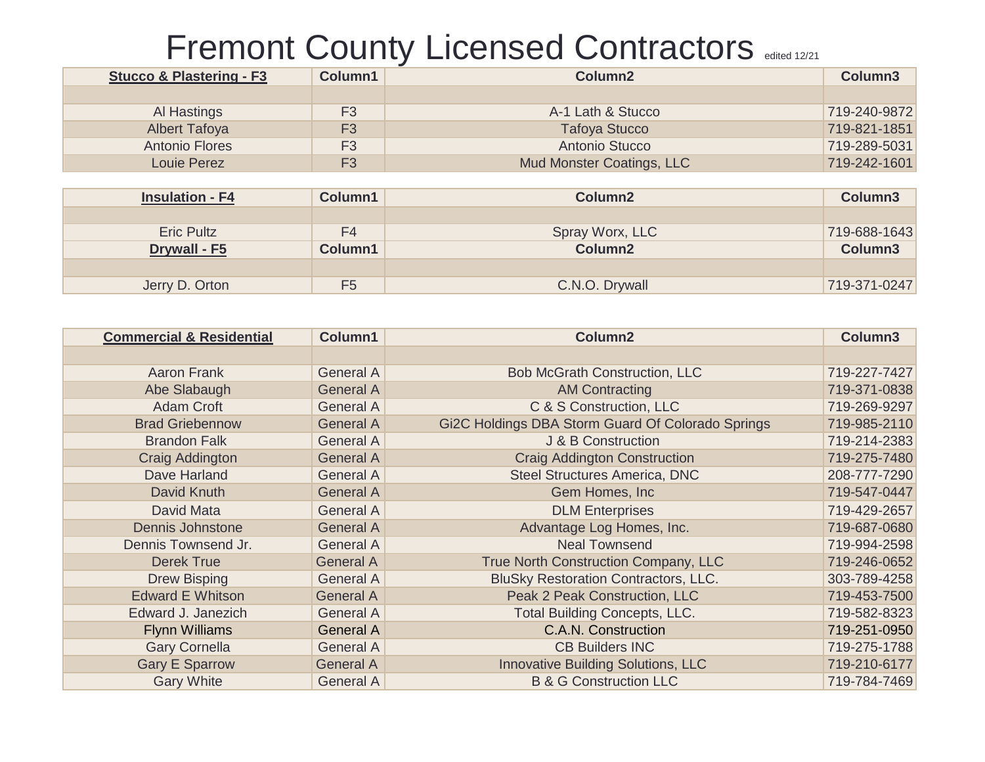| <b>Stucco &amp; Plastering - F3</b> | Column1        | Column <sub>2</sub>              | Column <sub>3</sub> |
|-------------------------------------|----------------|----------------------------------|---------------------|
|                                     |                |                                  |                     |
| Al Hastings                         | F <sub>3</sub> | A-1 Lath & Stucco                | 719-240-9872        |
| <b>Albert Tafoya</b>                | F3             | <b>Tafoya Stucco</b>             | 719-821-1851        |
| <b>Antonio Flores</b>               | F <sub>3</sub> | Antonio Stucco                   | 719-289-5031        |
| <b>Louie Perez</b>                  | F <sub>3</sub> | <b>Mud Monster Coatings, LLC</b> | 719-242-1601        |

| <b>Insulation - F4</b> | Column1        | Column <sub>2</sub> | Column <sub>3</sub> |
|------------------------|----------------|---------------------|---------------------|
|                        |                |                     |                     |
| <b>Eric Pultz</b>      | F4             | Spray Worx, LLC     | 719-688-1643        |
| Drywall - F5           | Column1        | <b>Column2</b>      | Column <sub>3</sub> |
|                        |                |                     |                     |
| Jerry D. Orton         | F <sub>5</sub> | C.N.O. Drywall      | 719-371-0247        |

| <b>Commercial &amp; Residential</b> | Column1          | Column <sub>2</sub>                               | Column3      |
|-------------------------------------|------------------|---------------------------------------------------|--------------|
|                                     |                  |                                                   |              |
| <b>Aaron Frank</b>                  | <b>General A</b> | <b>Bob McGrath Construction, LLC</b>              | 719-227-7427 |
| Abe Slabaugh                        | <b>General A</b> | <b>AM Contracting</b>                             | 719-371-0838 |
| <b>Adam Croft</b>                   | <b>General A</b> | C & S Construction, LLC                           | 719-269-9297 |
| <b>Brad Griebennow</b>              | <b>General A</b> | Gi2C Holdings DBA Storm Guard Of Colorado Springs | 719-985-2110 |
| <b>Brandon Falk</b>                 | <b>General A</b> | J & B Construction                                | 719-214-2383 |
| Craig Addington                     | <b>General A</b> | <b>Craig Addington Construction</b>               | 719-275-7480 |
| Dave Harland                        | <b>General A</b> | <b>Steel Structures America, DNC</b>              | 208-777-7290 |
| David Knuth                         | <b>General A</b> | Gem Homes, Inc.                                   | 719-547-0447 |
| David Mata                          | <b>General A</b> | <b>DLM Enterprises</b>                            | 719-429-2657 |
| <b>Dennis Johnstone</b>             | <b>General A</b> | Advantage Log Homes, Inc.                         | 719-687-0680 |
| Dennis Townsend Jr.                 | <b>General A</b> | <b>Neal Townsend</b>                              | 719-994-2598 |
| <b>Derek True</b>                   | <b>General A</b> | True North Construction Company, LLC              | 719-246-0652 |
| <b>Drew Bisping</b>                 | <b>General A</b> | BluSky Restoration Contractors, LLC.              | 303-789-4258 |
| <b>Edward E Whitson</b>             | <b>General A</b> | Peak 2 Peak Construction, LLC                     | 719-453-7500 |
| Edward J. Janezich                  | <b>General A</b> | <b>Total Building Concepts, LLC.</b>              | 719-582-8323 |
| <b>Flynn Williams</b>               | <b>General A</b> | C.A.N. Construction                               | 719-251-0950 |
| <b>Gary Cornella</b>                | <b>General A</b> | <b>CB Builders INC</b>                            | 719-275-1788 |
| <b>Gary E Sparrow</b>               | <b>General A</b> | <b>Innovative Building Solutions, LLC</b>         | 719-210-6177 |
| <b>Gary White</b>                   | <b>General A</b> | <b>B &amp; G Construction LLC</b>                 | 719-784-7469 |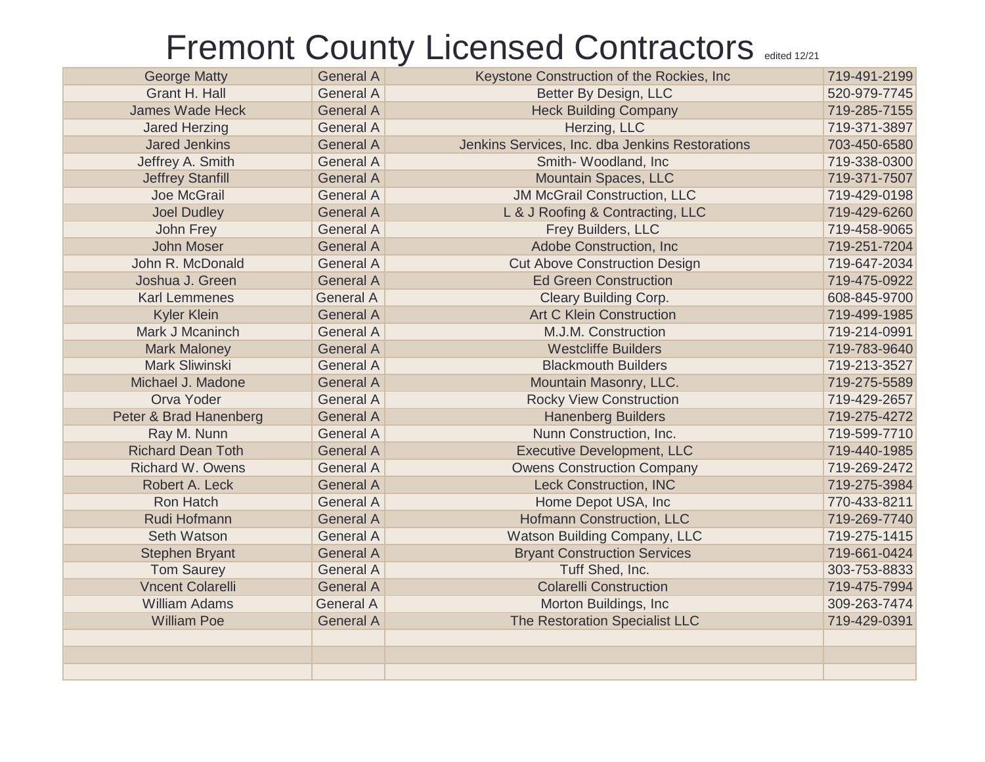| <b>George Matty</b>      | <b>General A</b> | Keystone Construction of the Rockies, Inc.      | 719-491-2199 |
|--------------------------|------------------|-------------------------------------------------|--------------|
| Grant H. Hall            | <b>General A</b> | Better By Design, LLC                           | 520-979-7745 |
| <b>James Wade Heck</b>   | <b>General A</b> | <b>Heck Building Company</b>                    | 719-285-7155 |
| <b>Jared Herzing</b>     | <b>General A</b> | Herzing, LLC                                    | 719-371-3897 |
| <b>Jared Jenkins</b>     | <b>General A</b> | Jenkins Services, Inc. dba Jenkins Restorations | 703-450-6580 |
| Jeffrey A. Smith         | <b>General A</b> | Smith-Woodland, Inc                             | 719-338-0300 |
| <b>Jeffrey Stanfill</b>  | <b>General A</b> | Mountain Spaces, LLC                            | 719-371-7507 |
| Joe McGrail              | <b>General A</b> | <b>JM McGrail Construction, LLC</b>             | 719-429-0198 |
| <b>Joel Dudley</b>       | <b>General A</b> | L & J Roofing & Contracting, LLC                | 719-429-6260 |
| John Frey                | <b>General A</b> | Frey Builders, LLC                              | 719-458-9065 |
| <b>John Moser</b>        | <b>General A</b> | Adobe Construction, Inc.                        | 719-251-7204 |
| John R. McDonald         | <b>General A</b> | <b>Cut Above Construction Design</b>            | 719-647-2034 |
| Joshua J. Green          | <b>General A</b> | <b>Ed Green Construction</b>                    | 719-475-0922 |
| <b>Karl Lemmenes</b>     | <b>General A</b> | <b>Cleary Building Corp.</b>                    | 608-845-9700 |
| <b>Kyler Klein</b>       | <b>General A</b> | <b>Art C Klein Construction</b>                 | 719-499-1985 |
| Mark J Mcaninch          | <b>General A</b> | M.J.M. Construction                             | 719-214-0991 |
| <b>Mark Maloney</b>      | <b>General A</b> | <b>Westcliffe Builders</b>                      | 719-783-9640 |
| Mark Sliwinski           | <b>General A</b> | <b>Blackmouth Builders</b>                      | 719-213-3527 |
| Michael J. Madone        | <b>General A</b> | Mountain Masonry, LLC.                          | 719-275-5589 |
| Orva Yoder               | <b>General A</b> | <b>Rocky View Construction</b>                  | 719-429-2657 |
| Peter & Brad Hanenberg   | <b>General A</b> | <b>Hanenberg Builders</b>                       | 719-275-4272 |
| Ray M. Nunn              | <b>General A</b> | Nunn Construction, Inc.                         | 719-599-7710 |
| <b>Richard Dean Toth</b> | <b>General A</b> | <b>Executive Development, LLC</b>               | 719-440-1985 |
| <b>Richard W. Owens</b>  | <b>General A</b> | <b>Owens Construction Company</b>               | 719-269-2472 |
| Robert A. Leck           | <b>General A</b> | <b>Leck Construction, INC</b>                   | 719-275-3984 |
| Ron Hatch                | <b>General A</b> | Home Depot USA, Inc                             | 770-433-8211 |
| Rudi Hofmann             | <b>General A</b> | <b>Hofmann Construction, LLC</b>                | 719-269-7740 |
| <b>Seth Watson</b>       | <b>General A</b> | Watson Building Company, LLC                    | 719-275-1415 |
| <b>Stephen Bryant</b>    | <b>General A</b> | <b>Bryant Construction Services</b>             | 719-661-0424 |
| <b>Tom Saurey</b>        | <b>General A</b> | Tuff Shed, Inc.                                 | 303-753-8833 |
| <b>Vncent Colarelli</b>  | <b>General A</b> | <b>Colarelli Construction</b>                   | 719-475-7994 |
| <b>William Adams</b>     | <b>General A</b> | Morton Buildings, Inc.                          | 309-263-7474 |
| <b>William Poe</b>       | <b>General A</b> | The Restoration Specialist LLC                  | 719-429-0391 |
|                          |                  |                                                 |              |
|                          |                  |                                                 |              |
|                          |                  |                                                 |              |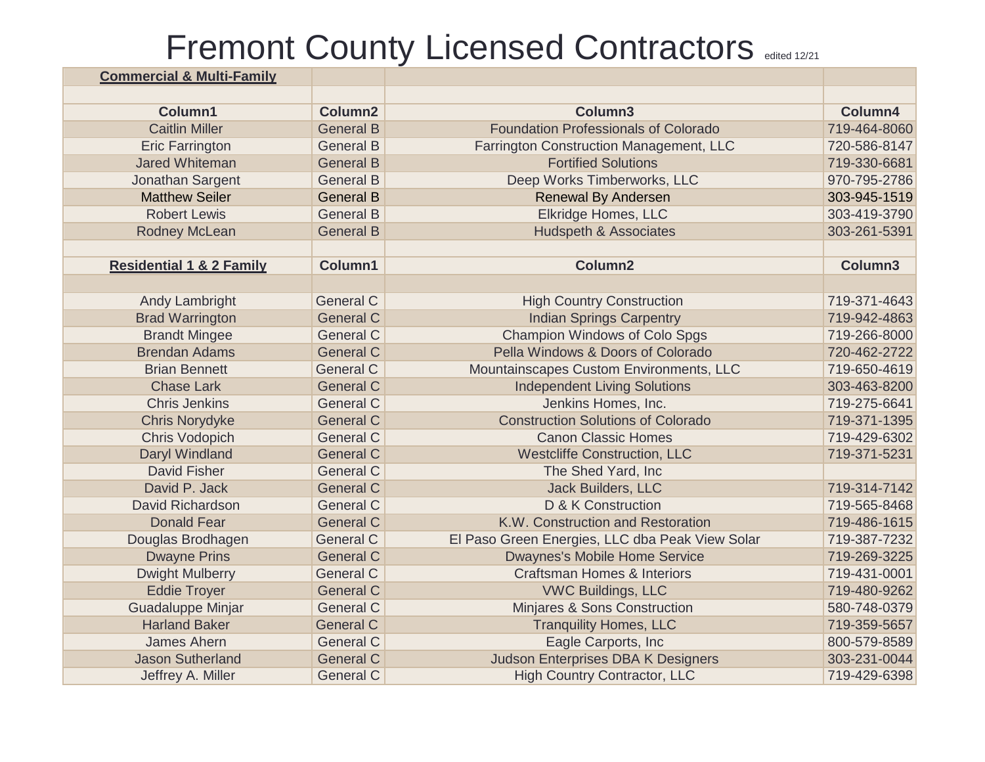| <b>Commercial &amp; Multi-Family</b> |                     |                                                 |              |
|--------------------------------------|---------------------|-------------------------------------------------|--------------|
|                                      |                     |                                                 |              |
| Column1                              | Column <sub>2</sub> | Column3                                         | Column4      |
| <b>Caitlin Miller</b>                | <b>General B</b>    | <b>Foundation Professionals of Colorado</b>     | 719-464-8060 |
| <b>Eric Farrington</b>               | <b>General B</b>    | Farrington Construction Management, LLC         | 720-586-8147 |
| <b>Jared Whiteman</b>                | <b>General B</b>    | <b>Fortified Solutions</b>                      | 719-330-6681 |
| Jonathan Sargent                     | <b>General B</b>    | Deep Works Timberworks, LLC                     | 970-795-2786 |
| <b>Matthew Seiler</b>                | <b>General B</b>    | <b>Renewal By Andersen</b>                      | 303-945-1519 |
| <b>Robert Lewis</b>                  | <b>General B</b>    | Elkridge Homes, LLC                             | 303-419-3790 |
| Rodney McLean                        | <b>General B</b>    | <b>Hudspeth &amp; Associates</b>                | 303-261-5391 |
|                                      |                     |                                                 |              |
| <b>Residential 1 &amp; 2 Family</b>  | Column1             | Column <sub>2</sub>                             | Column3      |
|                                      |                     |                                                 |              |
| <b>Andy Lambright</b>                | <b>General C</b>    | <b>High Country Construction</b>                | 719-371-4643 |
| <b>Brad Warrington</b>               | <b>General C</b>    | <b>Indian Springs Carpentry</b>                 | 719-942-4863 |
| <b>Brandt Mingee</b>                 | <b>General C</b>    | <b>Champion Windows of Colo Spgs</b>            | 719-266-8000 |
| <b>Brendan Adams</b>                 | <b>General C</b>    | Pella Windows & Doors of Colorado               | 720-462-2722 |
| <b>Brian Bennett</b>                 | <b>General C</b>    | Mountainscapes Custom Environments, LLC         | 719-650-4619 |
| <b>Chase Lark</b>                    | <b>General C</b>    | <b>Independent Living Solutions</b>             | 303-463-8200 |
| <b>Chris Jenkins</b>                 | <b>General C</b>    | Jenkins Homes, Inc.                             | 719-275-6641 |
| <b>Chris Norydyke</b>                | <b>General C</b>    | <b>Construction Solutions of Colorado</b>       | 719-371-1395 |
| <b>Chris Vodopich</b>                | <b>General C</b>    | <b>Canon Classic Homes</b>                      | 719-429-6302 |
| Daryl Windland                       | <b>General C</b>    | <b>Westcliffe Construction, LLC</b>             | 719-371-5231 |
| <b>David Fisher</b>                  | <b>General C</b>    | The Shed Yard, Inc                              |              |
| David P. Jack                        | <b>General C</b>    | <b>Jack Builders, LLC</b>                       | 719-314-7142 |
| David Richardson                     | <b>General C</b>    | D & K Construction                              | 719-565-8468 |
| <b>Donald Fear</b>                   | <b>General C</b>    | K.W. Construction and Restoration               | 719-486-1615 |
| Douglas Brodhagen                    | <b>General C</b>    | El Paso Green Energies, LLC dba Peak View Solar | 719-387-7232 |
| <b>Dwayne Prins</b>                  | <b>General C</b>    | <b>Dwaynes's Mobile Home Service</b>            | 719-269-3225 |
| <b>Dwight Mulberry</b>               | <b>General C</b>    | <b>Craftsman Homes &amp; Interiors</b>          | 719-431-0001 |
| <b>Eddie Troyer</b>                  | <b>General C</b>    | <b>VWC Buildings, LLC</b>                       | 719-480-9262 |
| Guadaluppe Minjar                    | <b>General C</b>    | Minjares & Sons Construction                    | 580-748-0379 |
| <b>Harland Baker</b>                 | <b>General C</b>    | <b>Tranquility Homes, LLC</b>                   | 719-359-5657 |
| James Ahern                          | <b>General C</b>    | Eagle Carports, Inc                             | 800-579-8589 |
| <b>Jason Sutherland</b>              | <b>General C</b>    | <b>Judson Enterprises DBA K Designers</b>       | 303-231-0044 |
| Jeffrey A. Miller                    | <b>General C</b>    | <b>High Country Contractor, LLC</b>             | 719-429-6398 |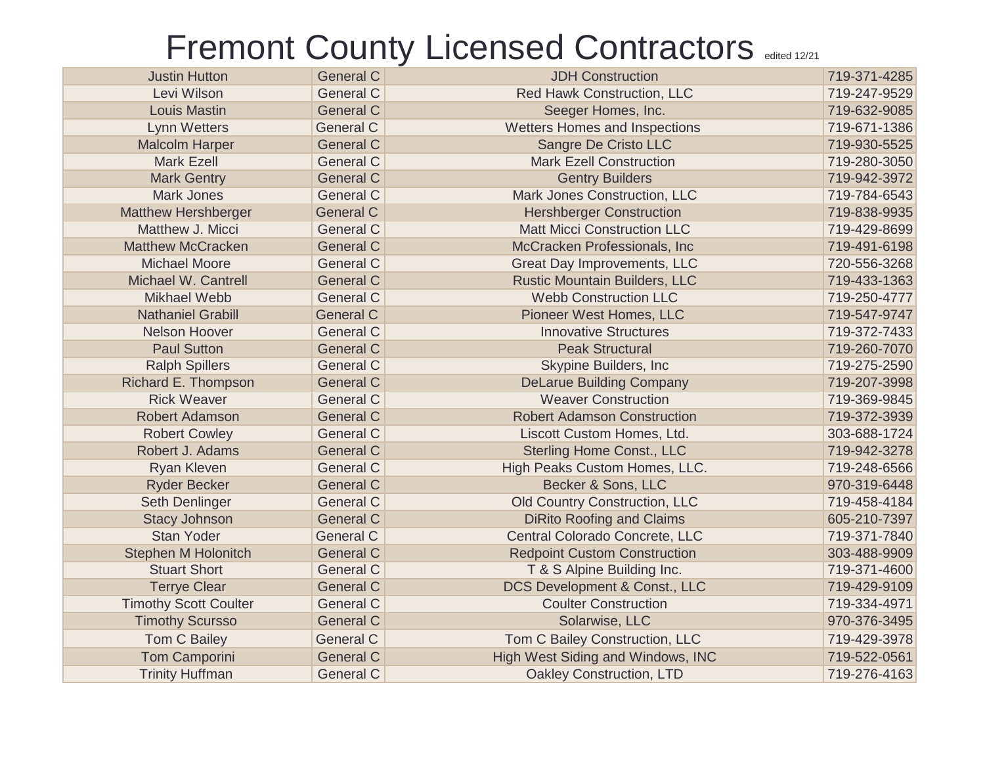| <b>Justin Hutton</b>         | <b>General C</b> | <b>JDH Construction</b>              | 719-371-4285 |
|------------------------------|------------------|--------------------------------------|--------------|
| Levi Wilson                  | <b>General C</b> | Red Hawk Construction, LLC           | 719-247-9529 |
| <b>Louis Mastin</b>          | <b>General C</b> | Seeger Homes, Inc.                   | 719-632-9085 |
| <b>Lynn Wetters</b>          | <b>General C</b> | Wetters Homes and Inspections        | 719-671-1386 |
| <b>Malcolm Harper</b>        | <b>General C</b> | Sangre De Cristo LLC                 | 719-930-5525 |
| <b>Mark Ezell</b>            | <b>General C</b> | <b>Mark Ezell Construction</b>       | 719-280-3050 |
| <b>Mark Gentry</b>           | <b>General C</b> | <b>Gentry Builders</b>               | 719-942-3972 |
| <b>Mark Jones</b>            | <b>General C</b> | Mark Jones Construction, LLC         | 719-784-6543 |
| <b>Matthew Hershberger</b>   | <b>General C</b> | <b>Hershberger Construction</b>      | 719-838-9935 |
| Matthew J. Micci             | <b>General C</b> | <b>Matt Micci Construction LLC</b>   | 719-429-8699 |
| <b>Matthew McCracken</b>     | <b>General C</b> | McCracken Professionals, Inc         | 719-491-6198 |
| <b>Michael Moore</b>         | <b>General C</b> | <b>Great Day Improvements, LLC</b>   | 720-556-3268 |
| Michael W. Cantrell          | <b>General C</b> | <b>Rustic Mountain Builders, LLC</b> | 719-433-1363 |
| <b>Mikhael Webb</b>          | <b>General C</b> | <b>Webb Construction LLC</b>         | 719-250-4777 |
| <b>Nathaniel Grabill</b>     | <b>General C</b> | Pioneer West Homes, LLC              | 719-547-9747 |
| <b>Nelson Hoover</b>         | <b>General C</b> | <b>Innovative Structures</b>         | 719-372-7433 |
| <b>Paul Sutton</b>           | <b>General C</b> | <b>Peak Structural</b>               | 719-260-7070 |
| <b>Ralph Spillers</b>        | <b>General C</b> | Skypine Builders, Inc                | 719-275-2590 |
| Richard E. Thompson          | <b>General C</b> | <b>DeLarue Building Company</b>      | 719-207-3998 |
| <b>Rick Weaver</b>           | <b>General C</b> | <b>Weaver Construction</b>           | 719-369-9845 |
| Robert Adamson               | <b>General C</b> | <b>Robert Adamson Construction</b>   | 719-372-3939 |
| <b>Robert Cowley</b>         | <b>General C</b> | Liscott Custom Homes, Ltd.           | 303-688-1724 |
| Robert J. Adams              | <b>General C</b> | <b>Sterling Home Const., LLC</b>     | 719-942-3278 |
| Ryan Kleven                  | <b>General C</b> | High Peaks Custom Homes, LLC.        | 719-248-6566 |
| <b>Ryder Becker</b>          | <b>General C</b> | Becker & Sons, LLC                   | 970-319-6448 |
| Seth Denlinger               | <b>General C</b> | Old Country Construction, LLC        | 719-458-4184 |
| <b>Stacy Johnson</b>         | <b>General C</b> | <b>DiRito Roofing and Claims</b>     | 605-210-7397 |
| <b>Stan Yoder</b>            | <b>General C</b> | Central Colorado Concrete, LLC       | 719-371-7840 |
| <b>Stephen M Holonitch</b>   | <b>General C</b> | <b>Redpoint Custom Construction</b>  | 303-488-9909 |
| <b>Stuart Short</b>          | <b>General C</b> | T & S Alpine Building Inc.           | 719-371-4600 |
| <b>Terrye Clear</b>          | <b>General C</b> | DCS Development & Const., LLC        | 719-429-9109 |
| <b>Timothy Scott Coulter</b> | <b>General C</b> | <b>Coulter Construction</b>          | 719-334-4971 |
| <b>Timothy Scursso</b>       | <b>General C</b> | Solarwise, LLC                       | 970-376-3495 |
| Tom C Bailey                 | <b>General C</b> | Tom C Bailey Construction, LLC       | 719-429-3978 |
| <b>Tom Camporini</b>         | <b>General C</b> | High West Siding and Windows, INC    | 719-522-0561 |
| <b>Trinity Huffman</b>       | <b>General C</b> | <b>Oakley Construction, LTD</b>      | 719-276-4163 |